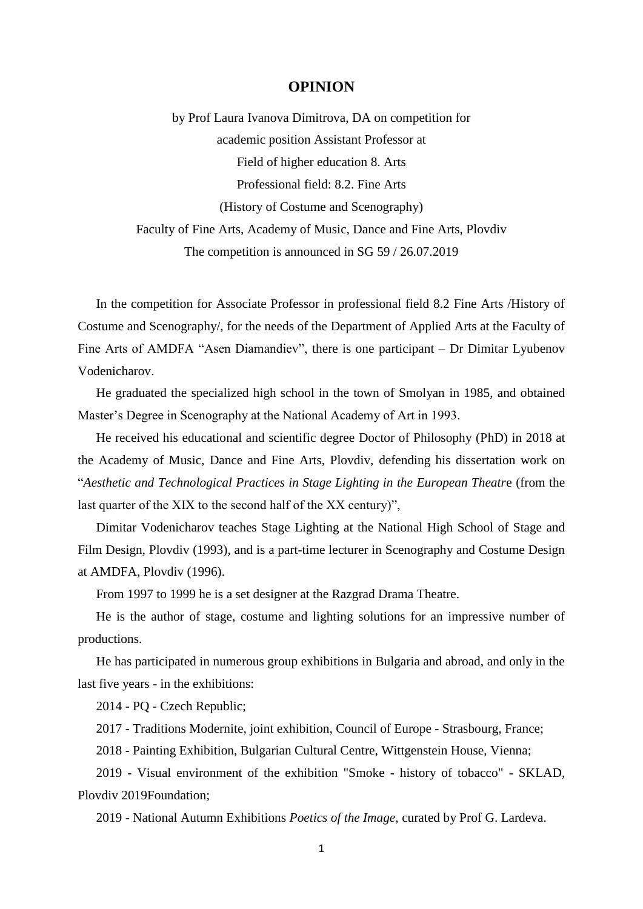## **OPINION**

by Prof Laura Ivanova Dimitrova, DA on competition for academic position Assistant Professor at Field of higher education 8. Arts Professional field: 8.2. Fine Arts (History of Costume and Scenography) Faculty of Fine Arts, Academy of Music, Dance and Fine Arts, Plovdiv The competition is announced in SG 59 / 26.07.2019

In the competition for Associate Professor in professional field 8.2 Fine Arts /History of Costume and Scenography/, for the needs of the Department of Applied Arts at the Faculty of Fine Arts of AMDFA "Asen Diamandiev", there is one participant – Dr Dimitar Lyubenov Vodenicharov.

He graduated the specialized high school in the town of Smolyan in 1985, and obtained Master's Degree in Scenography at the National Academy of Art in 1993.

He received his educational and scientific degree Doctor of Philosophy (PhD) in 2018 at the Academy of Music, Dance and Fine Arts, Plovdiv, defending his dissertation work on "*Aesthetic and Technological Practices in Stage Lighting in the European Theatr*e (from the last quarter of the XIX to the second half of the XX century)",

Dimitar Vodenicharov teaches Stage Lighting at the National High School of Stage and Film Design, Plovdiv (1993), and is a part-time lecturer in Scenography and Costume Design at AMDFA, Plovdiv (1996).

From 1997 to 1999 he is a set designer at the Razgrad Drama Theatre.

He is the author of stage, costume and lighting solutions for an impressive number of productions.

He has participated in numerous group exhibitions in Bulgaria and abroad, and only in the last five years - in the exhibitions:

2014 - PQ - Czech Republic;

2017 - Traditions Modernite, joint exhibition, Council of Europe - Strasbourg, France;

2018 - Painting Exhibition, Bulgarian Cultural Centre, Wittgenstein House, Vienna;

2019 - Visual environment of the exhibition "Smoke - history of tobacco" - SKLAD, Plovdiv 2019Foundation;

2019 - National Autumn Exhibitions *Poetics of the Image*, curated by Prof G. Lardeva.